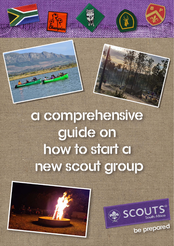# a comprehensive guide on how to start a new scout group





be prepared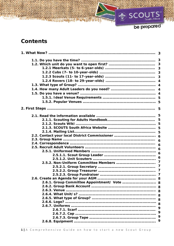**Africa** 1451

be prepared

# **Contents**

|                                             | 5                |  |  |
|---------------------------------------------|------------------|--|--|
|                                             | 5                |  |  |
|                                             |                  |  |  |
|                                             |                  |  |  |
|                                             |                  |  |  |
|                                             |                  |  |  |
|                                             | 6                |  |  |
|                                             | 6                |  |  |
|                                             |                  |  |  |
|                                             |                  |  |  |
|                                             |                  |  |  |
|                                             | $\boldsymbol{6}$ |  |  |
|                                             | $\overline{7}$   |  |  |
|                                             |                  |  |  |
|                                             |                  |  |  |
|                                             |                  |  |  |
|                                             |                  |  |  |
| 2.6.1. Group Committee Appointment/ Vote  8 |                  |  |  |
|                                             |                  |  |  |
|                                             |                  |  |  |
|                                             |                  |  |  |
|                                             | 8                |  |  |
|                                             | 8                |  |  |
|                                             |                  |  |  |
|                                             | 9                |  |  |
|                                             | 9                |  |  |
|                                             | 9                |  |  |
|                                             | 9                |  |  |
|                                             |                  |  |  |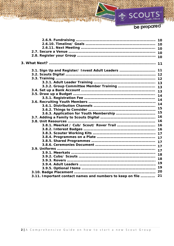# be prepared

South Africa

|                                                           | 10 |  |
|-----------------------------------------------------------|----|--|
|                                                           |    |  |
|                                                           |    |  |
|                                                           |    |  |
| 3.1. Sign Up and Register/ Invest Adult Leaders  11       |    |  |
|                                                           |    |  |
|                                                           |    |  |
|                                                           |    |  |
|                                                           |    |  |
|                                                           | 13 |  |
|                                                           | 14 |  |
|                                                           | 14 |  |
|                                                           | 14 |  |
|                                                           | 15 |  |
|                                                           |    |  |
|                                                           | 15 |  |
|                                                           | 16 |  |
|                                                           | 16 |  |
|                                                           | 16 |  |
|                                                           |    |  |
|                                                           |    |  |
|                                                           |    |  |
|                                                           |    |  |
|                                                           |    |  |
|                                                           | 17 |  |
|                                                           | 18 |  |
|                                                           |    |  |
|                                                           | 18 |  |
|                                                           | 19 |  |
|                                                           | 19 |  |
|                                                           | 20 |  |
| 3.11. Important contact names and numbers to keep on file | 21 |  |

A CONSENSER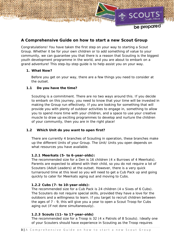

# **A Comprehensive Guide on how to start a new Scout Group**

Congratulations! You have taken the first step on your way to starting a Scout Group. Whether it be for your own children or to add something of value to your community, we can guarantee you that there is a reason that Scouting is the biggest youth development programme in the world, and you are about to embark on a grand adventure! This step-by-step guide is to help assist you on your way.

# **1. What Now?**

Before you get on your way, there are a few things you need to consider at the outset.

# **1.1 Do you have the time?**

Scouting is a commitment. There are no two ways around this. If you decide to embark on this journey, you need to know that your time will be invested in making the Group run effectively. If you are looking for something that will provide you with plenty of outdoor activities to engage in, something to allow you to spend more time with your children, and a space to use your creative muscle to draw up exciting programmes to develop and nurture the children of your community, then you are in the right place!

# **1.2 Which Unit do you want to open first?**

There are currently 4 branches of Scouting in operation, these branches make up the different Units of your Group. The Unit/ Units you open depends on what resources you have available.

# **1.2.1 Meerkats (5- to 6-year-olds):**

The recommended size for a Den is 16 children (4 x Burrows of 4 Meerkats). Parents are expected to attend with their child, so you do not require a lot of Scouters (Adult Leaders) at the outset. However, there is a very quick turnaround time at this level so you will need to get a Cub Pack up and going quickly to cater for Meerkats aging out and moving to Cubs.

# **1.2.2 Cubs (7- to 10-year-olds):**

The recommended size for a Cub Pack is 24 children (4 x Sixes of 6 Cubs). The Scouters do not require special skills, provided they have a love for the outdoors and a willingness to learn. If you target to recruit children between the ages of 7 - 9, this will give you a year to open a Scout Troop for Cubs aging out (if not done simultaneously).

# **1.2.3 Scouts (11- to 17-year-olds)**

The recommended size for a Troop is 32 (4 x Patrols of 8 Scouts). Ideally one of your Scouters should have experience in Scouting as the Troop requires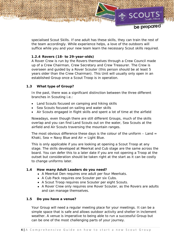

be prepared

specialised Scout Skills. If one adult has these skills, they can train the rest of the team accordingly. While experience helps, a love of the outdoors will suffice while you and your new team learn the necessary Scout skills required.

# **1.2.4 Rovers (18- to 29-year-olds)**

A Rover Crew is run by the Rovers themselves through a Crew Council made up of a Crew Chairman, Crew Secretary and Crew Treasurer. The Crew is overseen and guided by a Rover Scouter (this person should be at least 5 years older than the Crew Chairman). This Unit will usually only open in an established Group once a Scout Troop is in operation.

# **1.3 What type of Group?**

In the past, there was a significant distinction between the three different branches in Scouting i.e.:

- Land Scouts focused on camping and hiking skills
- Sea Scouts focused on sailing and water skills
- Air Scouts engaged in flight skills and spent a lot of time at the airfield

Nowadays, even though there are still different Groups, much of the skills overlap and you can find Land Scouts out on the water, Sea Scouts at the airfield and Air Scouts traversing the mountain ranges.

The most obvious difference these days is the colour of the uniform  $-$  Land  $=$ Khaki, Sea = Navy Blue and  $Air = Light Blue$ .

This is only applicable if you are looking at opening a Scout Troop at any stage. The skills developed at Meerkat and Cub stage are the same across the board. You can defer this to a later date if you are not opening a Troop at the outset but consideration should be taken right at the start as it can be costly to change uniforms later.

# **1.4 How many Adult Leaders do you need?**

- A Meerkat Den requires one adult per four Meerkats.
- A Cub Pack requires one Scouter per six Cubs.
- A Scout Troop requires one Scouter per eight Scouts.
- A Rover Crew only requires one Rover Scouter, as the Rovers are adults and can manage themselves.

# **1.5 Do you have a venue?**

Your Group will need a regular meeting place for your meetings. It can be a simple space that is safe and allows outdoor activity and shelter in inclement weather. A venue is imperative to being able to run a successful Group but can be one of the most challenging parts of your journey.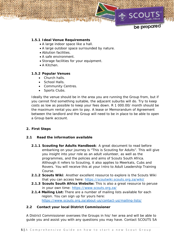

# **1.5.1 Ideal Venue Requirements**

- A large indoor space like a hall.
- A large outdoor space surrounded by nature.
- Ablution facilities.
- A safe environment.
- Storage facilities for your equipment.
- A Kitchen.

# **1.5.2 Popular Venues**

- Church halls.
- School Halls.
- Community Centres.
- Sports Clubs.

Ideally the venue should be in the area you are running the Group from, but if you cannot find something suitable, the adjacent suburbs will do. Try to keep costs as low as possible to keep your fees down. R 1 000.00/ month should be the maximum rental you aim to pay. A lease or Memorandum of Agreement between the landlord and the Group will need to be in place to be able to open a Group bank account.

# **2. First Steps**

# **2.1 Read the information available**

- **2.1.1 Scouting for Adults Handbook**: A great document to read before embarking on your journey is "This is Scouting for Adults". This will give you insight into your role as an adult volunteer, as well as the programmes, and the policies and aims of Scouts South Africa. Although it refers to Scouting, it also applies to Meerkats, Cubs and Rovers. You will receive this at your Intro to Adult Leadership Training Course.
- **2.1.2 Scouts Wiki**: Another excellent resource to explore is the Scouts Wiki that you can access here: https://scoutwiki.scouts.org.za/wiki/
- **2.1.3 Scouts South Africa Website:** This is also a great resource to peruse in your own time: https://www.scouts.org.za/
- **2.1.4 Mailing List:** There are a number of mailing lists available for each region. You can sign up for yours here: https://www.scouts.org.za/about-us/contact-us/mailing-lists/

# **2.2 Contact your local District Commissioner**

A District Commissioner oversees the Groups in his/ her area and will be able to guide you and assist you with any questions you may have. Contact SCOUTS SA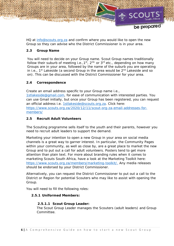

HQ at info@scouts.org.za and confirm where you would like to open the new Group so they can advise who the District Commissioner is in your area.

# **2.3 Group Name**

You will need to decide on your Group name. Scout Group names traditionally follow their suburb of meeting i.e.,  $1^{st}$ ,  $2^{nd}$  or  $3^{rd}$  etc., depending on how many Groups are in your area, followed by the name of the suburb you are operating in i.e.,  $1^{st}$  Lakeside (a second Group in the area would be  $2^{nd}$  Lakeside and so on). This can be discussed with the District Commissioner for your area.

# **2.4 Correspondence**

Create an email address specific to your Group name i.e., 1stlakeside@gmail.com, for ease of communication with interested parties. You can use Gmail initially, but once your Group has been registered, you can request an official address i.e. 1stlakeside@scouts.org.za. Click here: https://www.scouts.org.za/2020/12/11/scout-org-za-email-addresses-formembers/

# **2.5 Recruit Adult Volunteers**

The Scouting programme sells itself to the youth and their parents, however you need to recruit adult leaders to support the demand.

Marketing your intention to open a new Group in your area on social media channels is a great way to garner interest. In particular, the Community Pages within your community, as well as close by, are a great place to market the new Group and to put out a call for adult volunteers. Posters tend to get more attention than plain text. For more about branding rules when it comes to marketing Scouts South Africa, have a look at the Marketing Toolkit here: https://www.scouts.org.za/members/marketing-toolkit/. Any media releases should be endorsed by your District Commissioner.

Alternatively, you can request the District Commissioner to put out a call to the District or Region for potential Scouters who may like to assist with opening the Group.

You will need to fill the following roles:

# **2.5.1 Uniformed Members:**

# **2.5.1.1 Scout Group Leader:**

The Scout Group Leader manages the Scouters (adult leaders) and Group Committee.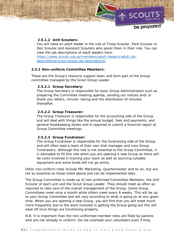# **2.5.1.2 Unit Scouters:**

You will need an adult leader in the role of Troop Scouter, Pack Scouter or Den Scouter and Assistant Scouters who assist them in their role. You can view the job descriptions of adult leaders here: https://www.scouts.org.za/members/adult-leaders/adult-job-

descriptions/scout-group-job-descriptions/

#### **2.5.2 Non-uniform Committee Members:**

These are the Group's resource support team and form part of the Group committee managed by the Scout Group Leader.

#### **2.5.2.1 Group Secretary:**

The Group Secretary is responsible for basic Group Administration such as preparing the Committee meeting agenda, sending out notices and/ or thank you letters, minute- taking and the distribution of minutes thereafter.

#### **2.5.2.2 Group Treasurer:**

The Group Treasurer is responsible for the accounting side of the Group and will deal with things like the annual budget, fees and payments, and general bookkeeping duties and is required to submit a financial report at Group Committee meetings.

#### **2.5.2.3 Group Fundraiser:**

The Group Fundraiser is responsible for the fundraising side of the Group and will often lead a team of their own that manages and runs Group Fundraisers. Although this role is not essential to the Group Committee, it is advisable to fill this role when you are opening a new Group as there will be costs involved in training your team as well as sourcing suitable equipment and extra funds will not go amiss.

Other non-uniform roles include PR/ Marketing, Quartermaster and so on, but are not as essential as those listed above and can be implemented later.

The Group Committee is made up of non-uniformed Committee Members, the Unit Scouter of each unit and the Scout Group Leader. They should meet as often as required to take care of the overall management of the Group. Some Group Committees meet once a month while others meet every 6 weeks. This will be up to your Group Committee and will vary according to what is going on at any given time. When you are opening a new Group, you will find that you will meet much more frequently due to the work involved in getting the Group going but this will ease off once things are functioning properly.

*N.B. It is important than the non-uniformed member roles are filled by parents who are not already in uniform. Do not overload your volunteers even if they*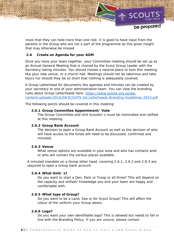

*insist that they can hold more than one role. It is good to have input from the parents in the Group who are not a part of the programme as this gives insight that may otherwise be missed* 

# **2.6 Create an Agenda for your AGM**

Once you have your team together, your Committee meeting should be set up as an Annual General Meeting that is chaired by the Scout Group Leader with the Secretary taking minutes. You should choose a neutral place to host this meeting like your new venue, or a church hall. Meetings should not be laborious and take hours nor should they be so short that nothing is adequately covered.

A Group Letterhead for documents like agendas and minutes can be created by your secretary or one of your administration team. You can view the branding rules about Group Letterheads here: https://www.scouts.org.za/wpcontent/uploads/2014/04/SCOUTS-SA-Letterheads-Branding-Guidelines-2013.pdf

The following points should be covered in this meeting:

#### **2.6.1 Group Committee Appointment/ Vote**

The Group Committee and Unit Scouter/ s must be nominated and ratified at this meeting.

#### **2.6.2 Group Bank Account**

The decision to open a Group Bank Account as well as the decision of who will have access to the funds will need to be discussed, confirmed and minuted.

#### **2.6.3 Venue**

What venue options are available in your area and who has contacts and/ or who will contact the various places available.

A minuted mandate on a Group letter head covering 2.6.1, 2.6.2 and 2.6.3 are required to open a Group bank account.

#### **2.6.4 What Unit/ s?**

Do you want to start a Den, Pack or Troop or all three? This will depend on the capacity and skillset/ knowledge you and your team are happy and comfortable with.

#### **2.6.5 What type of Group?**

Do you want to be a Land, Sea or Air Scout Group? This will affect the colour of the uniform your Group wears.

#### **2.6.6 Logo?**

Do you want your own identifiable logo? This is allowed but needs to fall in line with the Branding Policy. If you are unsure, please contact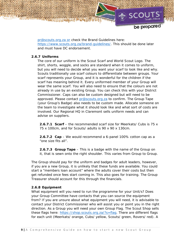

be prepared

pr@scouts.org.za or check the Brand Guidelines here: https://www.scouts.org.za/brand-guidelines/. This should be done later and must have DC endorsement.

# **2.6.7 Uniforms**

The core of our uniform is the Scout Scarf and World Scout Logo. The shirt, shorts, woggle, and socks are standard when it comes to uniform, but you will need to decide what you want your scarf to look like and why. Scouts traditionally use scarf colours to differentiate between groups. Your scarf represents your Group, and it is wonderful for the children if the scarf has meaning behind it. Every uniformed member of your Group will wear the same scarf. You will also need to ensure that the colours are not already in use by an existing Group. You can check this with your District Commissioner. Caps can also be custom designed but will need to be approved. Please contact pr@scouts.org.za to confirm. The Group Tape (your Group's Badge) also needs to be custom made. Allocate someone on the team to investigate what it should look like and what sort of costs are involved. Our Regional HQ in Claremont sells uniform needs and can advise on suppliers.

**2.6.7.1 Scarf** – the recommended scarf size for Meerkats/ Cubs is 75 x 75 x 100cm, and for Scouts/ adults is 90 x 90 x 130cm.

**2.6.7.2 Cap** – We would recommend a 6-panel 100% cotton cap as a "one size fits all".

**2.6.7.3 Group Tape** – This is a badge with the name of the Group on it, that is sewn onto the right shoulder. This varies from Group to Group.

The Group should pay for the uniform and badges for adult leaders, however, if you are a new Group, it is unlikely that these funds are available. You could start a "members loan account" where the adults cover their costs but then get refunded once fees start coming in. This also goes for training. The Group Treasurer should account for this through the financials.

# **2.6.8 Equipment**

What equipment will you need to run the programme for your Unit/s? Does your Group Committee have contacts that you can source the equipment from? If you are unsure about what equipment you will need, it is advisable to contact your District Commissioner who will assist you or point you in the right direction. As a Group you will need your own Group Flag. The Scout Shop sells these flags here: https://shop.scouts.org.za/?s=flag. There are different flags for each unit (Meerkats/ orange, Cubs/ yellow, Scouts/ green, Rovers/ red). A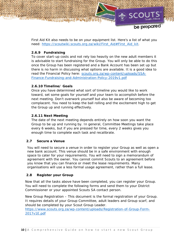

First Aid Kit also needs to be on your equipment list. Here's a list of what you need: https://scoutwiki.scouts.org.za/wiki/First\_Aid#First\_Aid\_kit.

# **2.6.9 Fundraising**

To cover start-up costs and not rely too heavily on the new adult members it is advisable to start fundraising for the Group. You will only be able to do this once the Group has been registered and a Bank Account has been set up but there is no harm in discussing what options are available. It is a good idea to read the Financial Policy here: scouts.org.za/wp-content/uploads/SSA-Finance-Fundraising-and-Administration-Policy-2019v1.pdf

# **2.6.10 Timeline/ Goals**

Once you have determined what sort of timeline you would like to work toward, set some goals for yourself and your team to accomplish before the next meeting. Don't overwork yourself but also be aware of becoming too complacent. You need to keep the ball rolling and the excitement high to get the Group up and running effectively.

# **2.6.11 Next Meeting**

The date of the next meeting depends entirely on how soon you want the Group to be up and running by. In general, Committee Meetings take place every 6 weeks, but if you are pressed for time, every 2 weeks gives you enough time to complete each task and recalibrate.

# **2.7 Secure a Venue**

You will need to secure a venue in order to register your Group as well as open a new bank account. This venue should be in a safe environment with enough space to cater for your requirements. You will need to sign a memorandum of agreement with the owner. You cannot commit Scouts to an agreement before you know that you can finance or meet the lease requirements. Many organisations will use a less formal usage agreement, rather than a full lease.

# **2.8 Register your Group**

Now that all the tasks above have been completed, you can register your Group. You will need to complete the following forms and send them to your District Commissioner or your appointed Scouts SA contact person.

New Group Registration – This document is the formal registration of your Group. It requires details of your Group Committee, adult leaders and Group scarf, and should be completed by your Scout Group Leader.

https://www.scouts.org.za/wp-content/uploads/Registration-of-Group-Form-2017v1E.pdf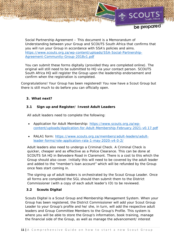

Social Partnership Agreement – This document is a Memorandum of Understanding between your Group and SCOUTS South Africa that confirms that you will run your Group in accordance with SSA's policies and aims. https://www.scouts.org.za/wp-content/uploads/SSA-Social-Partnership-Agreement-Community-Group-2018v1.pdf

You can submit these forms digitally (provided they are completed online). The original will still need to be submitted to HQ via your contact person. SCOUTS South Africa HQ will register the Group upon the leadership endorsement and confirm when the registration is completed.

Congratulations! Your Group has been registered! You now have a Scout Group but there is still much to do before you can officially open.

# **3. What next?**

# **3.1 Sign up and Register/ Invest Adult Leaders**

All adult leaders need to complete the following:

- Application for Adult Membership: https://www.scouts.org.za/wpcontent/uploads/Application-for-Adult-Membership-February-2021-v0.17.pdf
- RALA1 form: https://www.scouts.org.za/members/adult-leaders/adultleader-forms/role-application-rala-1-may-2020-v4-0-2/

Adult leaders also need to undergo a Criminal Check. A Criminal Check is quicker, cheaper and as effective as a Police Clearance. This can be done at SCOUTS SA HQ in Belvedere Road in Claremont. There is a cost to this which the Group should also cover. Initially this will need to be covered by the adult leader and added to the "member's loan account" which will be refunded by the Group once fees start coming in.

The signing up of adult leaders is orchestrated by the Scout Group Leader. Once all forms are completed the SGL should then submit them to the District Commissioner (with a copy of each adult leader's ID) to be reviewed.

# **3.2 Scouts Digital**

Scouts Digital is a Scout Group and Membership Management System. When your Group has been registered, the District Commissioner will add your Scout Group Leader to your Group's profile and he/ she, in turn, will add the respective adult leaders and Group Committee Members to the Group's Profile. This system is where you will be able to store the Group's information, book training, manage the financial side of the Group, as well as manage the advancement/ interest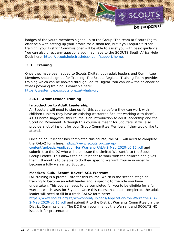

badges of the youth members signed up to the Group. The team at Scouts Digital offer help with setting up your profile for a small fee, but if you require further training, your District Commissioner will be able to assist you with basic guidance. You can also direct any questions you may have to the SCOUTS South Africa Help Desk here: https://scoutshelp.freshdesk.com/support/home.

# **3.3 Training**

Once they have been added to Scouts Digital, both adult leaders and Committee Members should sign up for Training. The Scouts Regional Training Team provides training which can be booked through Scouts Digital. You can view the calendar of what upcoming training is available here:

https://westerncape.scouts.org.za/whats-on/

# **3.3.1 Adult Leader Training**

# *Introduction to Adult Leadership*

All Scouters will need to sign up for this course before they can work with children (unless they have an existing warranted Scouter working with them). As its name suggests, this course is an introduction to adult leadership and the Scouting Movement. Although this course is meant for Scouters, it will also provide a lot of insight for your Group Committee Members if they would like to attend.

Once an adult leader has completed this course, the SGL will need to complete the RALA2 form here: https://www.scouts.org.za/wpcontent/uploads/Application-for-Warrant-RALA-2-May-2020-v0.15.pdf and submit it to the DC who will then issue the Limited Warrant/s to the Scout Group Leader. This allows the adult leader to work with the children and gives them 18 months to be able to do their specific Warrant Course in order to become a fully warranted Scouter.

# *Meerkat/ Cub/ Scout/ Rover/ SGL Warrant*

IAL training is a prerequisite for this course, which is the second stage of training to become an adult leader and is specific to the role you have undertaken. This course needs to be completed for you to be eligible for a full warrant which lasts for 5 years. Once this course has been completed, the adult leader will need to fill in a fresh RALA2 form here:

https://www.scouts.org.za/wp-content/uploads/Application-for-Warrant-RALA-2-May-2020-v0.15.pdf and submit it to the District Warrants Committee via the District Commissioner. The DC then recommends the Warrant and SCOUTS HQ issues it for presentation.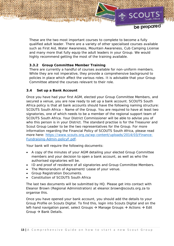

These are the two most important courses to complete to become a fully qualified adult leader. There are a variety of other specialised courses available such as First Aid, Water Awareness, Mountain Awareness, Cub Camping License and many more that fully equip the adult leaders in your Group. We would highly recommend getting the most of the training available.

# **3.3.2 Group Committee Member Training**

There are currently a handful of courses available for non-uniform members. While they are not imperative, they provide a comprehensive background to policies in place which affect the various roles. It is advisable that your Group Committee attend the courses relevant to their role.

# **3.4 Set up a Bank Account**

Once you have had your first AGM, elected your Group Committee Members, and secured a venue, you are now ready to set up a bank account. SCOUTS South Africa policy is that all bank accounts should have the following naming structure: *SCOUTS South Africa – Name of the Group.* You are required to have at least two signatories, one of which needs to be a member of the regional support team of SCOUTS South Africa. Your District Commissioner will be able to advise you of who this person is in your District. The standard practise is for the Treasurer and Scout Group Leader to be the two representatives for the Group. For more information regarding the Financial Policy of SCOUTS South Africa, please read more here: https://www.scouts.org.za/wp-content/uploads/2014/03/Finance-Fundraising-Admin-policyF.pdf.

Your bank will require the following documents:

- A copy of the minutes of your AGM detailing your elected Group Committee members and your decision to open a bank account, as well as who the authorised signatories will be.
- ID and proof of residence of all signatories and Group Committee Members.
- The Memorandum of Agreement/ Lease of your venue.
- Group Registration Documents.
- Constitution of SCOUTS South Africa

The last two documents will be submitted by HQ. Please get into contact with Eleanor Brown (Regional Administration) at eleanor.brown@scouts.org.za to organise this.

Once you have opened your bank account, you should add the details to your Group Profile on Scouts Digital. To find this, login into Scouts Digital and on the left-hand navigation panel, select Groups  $\rightarrow$  Manage Groups  $\rightarrow$  Actions  $\rightarrow$  Edit Group  $\rightarrow$  Bank Details.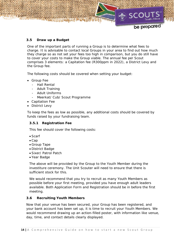

# **3.5 Draw up a Budget**

One of the important parts of running a Group is to determine what fees to charge. It is advisable to contact local Groups in your area to find out how much they charge so as not set your fees too high in comparison, but you do still have to cover your costs to make the Group viable. The annual fee per Scout comprises 3 elements: a Capitation fee (R300ppm in 2022), a District Levy and the Group fee.

The following costs should be covered when setting your budget:

- Group Fee
	- Hall Rental
	- Adult Training
	- Adult Uniforms
	- Meerkat/ Cub/ Scout Programme
- Capitation Fee
- District Levy

To keep the fees as low as possible, any additional costs should be covered by funds raised by your fundraising team.

#### **3.5.1 Registration Fee**

This fee should cover the following costs:

- Scarf
- $\bullet$  Cap
- Group Tape
- District Badge
- Sixer/ Patrol Patch
- Year Badge

The above will be provided by the Group to the Youth Member during the investiture ceremony. The Unit Scouter will need to ensure that there is sufficient stock for this.

We would recommend that you try to recruit as many Youth Members as possible before your first meeting, provided you have enough adult leaders available. Both Application Form and Registration should be in before the first meeting.

#### **3.6 Recruiting Youth Members**

Now that your venue has been secured, your Group has been registered, and your bank account has been set up, it is time to recruit your Youth Members. We would recommend drawing up an action-filled poster, with information like venue, day, time, and contact details clearly displayed.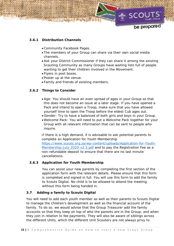

# **3.6.1 Distribution Channels**

- Community Facebook Pages.
- The members of your Group can share via their own social media channels.
- Ask your District Commissioner if they can share it among the existing Scouting Community as many Groups have waiting lists full of people wanting to get their children involved in the Movement.
- Flyers in post boxes.
- Poster up at the venue.
- Family and friends of existing members.

# **3.6.2 Things to Consider**

- *Age:* You should have an even spread of ages in your Group so that this does not become an issue at a later stage. If you have opened a Pack and intend to open a Troop, make sure that you have allowed yourself time to open the Troop before the eldest Cub ages out.
- *Gender:* Try to have a balanced of both girls and boys in your Group.
- *Welcome Pack:* You will need to put a Welcome Pack together for your Group with all relevant information that can be sent to people who inquire.

If there is a high demand, it is advisable to ask potential parents to complete an Application for Youth Membership https://www.scouts.org.za/wp-content/uploads/Application-for-Youth-Membership-July-2020-v2.3.pdf and to pay the Registration Fee as a non-refundable deposit to ensure that there are no last minute cancellations.

# **3.6.3 Application for Youth Membership**

You can assist your new parents by completing the first section of the application form with the relevant details. Please ensure that this form is completed and signed in full. You will use this form to add the family to Scouts Digital. No child is to be allowed to attend the meeting without this form being handed in.

#### **3.7 Adding a family to Scouts Digital**

You will need to add each youth member as well as their parents to Scouts Digital to manage the children's development as well as the financial account of the family. To do so, we would advise that the Group Treasurer add the family accounts so that they keep on top of who the parents are in the Group, and when they join in relation to fee payments. They will also be aware of siblings across the different Units, which the different Unit Scouters are not always privy to.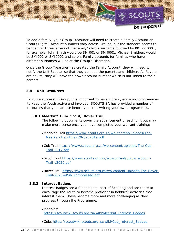

To add a family, your Group Treasurer will need to create a Family Account on Scouts Digital. Account numbers vary across Groups, but the standard seems to be the first three letters of the family/ child's surname followed by 001 or 0001, for example, John Smith would be SMI001 or SMI0001. Michael Smithers would be SMI002 or SMI0002 and so on. Family accounts for families who have different surnames will be at the Group's Discretion.

Once the Group Treasurer has created the Family Account, they will need to notify the Unit Scouter so that they can add the parents and children. As Rovers are adults, they will have their own account number which is not linked to their parents.

# **3.8 Unit Resources**

To run a successful Group, it is important to have vibrant, engaging programmes to keep the Youth active and involved. SCOUTS SA has provided a number of resources that you can use before you start writing your own programmes.

#### **3.8.1 Meerkat/ Cub/ Scout/ Rover Trail**

The following documents cover the advancement of each unit but may make more sense once you have completed your warrant training:

- Meerkat Trail https://www.scouts.org.za/wp-content/uploads/The-Meerkat-Trail-Final-20-Sep2019.pdf
- Cub Trail https://www.scouts.org.za/wp-content/uploads/The-Cub-Trail-2017.pdf
- Scout Trail https://www.scouts.org.za/wp-content/uploads/Scout-Trail-v2020.pdf
- Rover Trail https://www.scouts.org.za/wp-content/uploads/The-Rover-Trail-2020-ePub\_compressed.pdf

#### **3.8.2 Interest Badges**

Interest Badges are a fundamental part of Scouting and are there to encourage the Youth to become proficient in hobbies/ activities that interest them. These become more and more challenging as they progress through the Programme.

#### Meerkats

https://scoutwiki.scouts.org.za/wiki/Meerkat\_Interest\_Badges

Cubs https://scoutwiki.scouts.org.za/wiki/Cub\_Interest\_Badges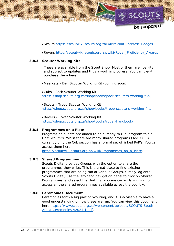

be prepared

- Scouts https://scoutwiki.scouts.org.za/wiki/Scout\_Interest\_Badges
- Rovers https://scoutwiki.scouts.org.za/wiki/Rover\_Proficiency\_Awards

#### **3.8.3 Scouter Working Kits**

These are available from the Scout Shop. Most of them are live kits and subject to updates and thus a work in progress. You can view/ purchase them here:

- Meerkats Den Scouter Working Kit (coming soon)
- Cubs Pack Scouter Working Kit https://shop.scouts.org.za/shop/books/pack-scouters-working-file/

 Scouts - Troop Scouter Working Kit https://shop.scouts.org.za/shop/books/troop-scouters-working-file/

 Rovers - Rover Scouter Working Kit https://shop.scouts.org.za/shop/books/rover-handbook/

#### **3.8.4 Programmes on a Plate**

Programs on a Plate are aimed to be a 'ready to run' program to aid Unit Scouters. Whist there are many shared programs (see 3.8.5) currently only the Cub section has a formal set of linked PoP's. You can access them here

https://scoutwiki.scouts.org.za/wiki/Programmes\_on\_a\_Plate.

#### **3.8.5 Shared Programmes**

Scouts Digital provides Groups with the option to share the programmes they write. This is a great place to find existing programmes that are being run at various Groups. Simply log onto Scouts Digital, use the left-hand navigation panel to click on Shared Programmes, and select the Unit that you are currently running to access all the shared programmes available across the country.

#### **3.8.6 Ceremonies Document**

Ceremonies form a big part of Scouting, and it is advisable to have a good understanding of how these are run. You can view this document here https://www.scouts.org.za/wp-content/uploads/SCOUTS-South-Africa-Ceremonies-v2021.1.pdf.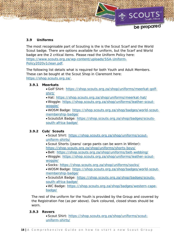

# **3.9 Uniforms**

The most recognisable part of Scouting is the is the Scout Scarf and the World Scout badge. There are options available for uniform, but the Scarf and World badge are the 2 critical items. Please read the Uniform Policy here: https://www.scouts.org.za/wp-content/uploads/SSA-Uniform-Policy2020v1clean.pdf.

The following list details what is required for both Youth and Adult Members. These can be bought at the Scout Shop in Claremont here: https://shop.scouts.org.za/.

# **3.9.1 Meerkats**

- Golf Shirt: https://shop.scouts.org.za/shop/uniforms/meerkat-golfshirt/
- Hat: https://shop.scouts.org.za/shop/uniforms/meerkat-hat/
- Woggle: https://shop.scouts.org.za/shop/uniforms/leather-scoutwoggle/

 WOSM Badge: https://shop.scouts.org.za/shop/badges/world-scoutmembership-badge/

 ScoutsSA Badge: https://shop.scouts.org.za/shop/badges/scoutssouth-africa-badge/

# **3.9.2 Cub/ Scouts**

- Scout Shirt: https://shop.scouts.org.za/shop/uniforms/scoutuniform-shirts/
- Scout Shorts (jeans/ cargo pants can be worn in Winter): https://shop.scouts.org.za/shop/uniforms/shorts-boys/
- Belt: https://shop.scouts.org.za/shop/uniforms/belt-webbing/
- Woggle: https://shop.scouts.org.za/shop/uniforms/leather-scoutwoggle/
- Socks: https://shop.scouts.org.za/shop/uniforms/socks/
- WOSM Badge: https://shop.scouts.org.za/shop/badges/world-scoutmembership-badge/
- ScoutsSA Badge: https://shop.scouts.org.za/shop/badges/scoutssouth-africa-badge/
- WC Badge: https://shop.scouts.org.za/shop/badges/western-capebadge/

The rest of the uniform for the Youth is provided by the Group and covered by the Registration Fee (as per above). Dark coloured, closed shoes should be worn.

#### **3.9.3 Rovers**

 Scout Shirt: https://shop.scouts.org.za/shop/uniforms/scoutuniform-shirts/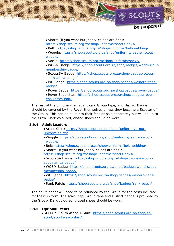

Shorts (if you want but jeans/ chinos are fine):

https://shop.scouts.org.za/shop/uniforms/shorts-boys/

Belt: https://shop.scouts.org.za/shop/uniforms/belt-webbing/

 Woggle: https://shop.scouts.org.za/shop/uniforms/leather-scoutwoggle/

Socks: https://shop.scouts.org.za/shop/uniforms/socks/

 WOSM Badge: https://shop.scouts.org.za/shop/badges/world-scoutmembership-badge/

 ScoutsSA Badge: https://shop.scouts.org.za/shop/badges/scoutssouth-africa-badge/

 WC Badge: https://shop.scouts.org.za/shop/badges/western-capebadge/

Rover Badge: https://shop.scouts.org.za/shop/badges/rover-badge/

 Rover Epaulettes: https://shop.scouts.org.za/shop/badges/roverepaulettes-pair/

The rest of the uniform (i.e., scarf, cap, Group tape, and District Badge) should be covered by the Rover themselves unless they become a Scouter of the Group. This can be built into their fees or paid separately but will be up to the Crew. Dark coloured, closed shoes should be worn.

# **3.9.4 Adult Leaders**

- Scout Shirt: https://shop.scouts.org.za/shop/uniforms/scoutuniform-shirts/
- Woggle: https://shop.scouts.org.za/shop/uniforms/leather-scoutwoggle/
- Belt: https://shop.scouts.org.za/shop/uniforms/belt-webbing/
- Shorts (if you want but jeans/ chinos are fine):
- https://shop.scouts.org.za/shop/uniforms/shorts-boys/

 ScoutsSA Badge: https://shop.scouts.org.za/shop/badges/scoutssouth-africa-badge/

 WOSM Badge: https://shop.scouts.org.za/shop/badges/world-scoutmembership-badge/

 WC Badge: https://shop.scouts.org.za/shop/badges/western-capebadge/

Rank Patch: https://shop.scouts.org.za/shop/badges/rank-patch/

The adult leader will need to be refunded by the Group for the costs incurred for their uniform. The scarf, cap, Group tape and District badge is provided by the Group. Dark coloured, closed shoes should be worn.

# **3.9.5 Optional Items**

 SCOUTS South Africa T-Shirt: https://shop.scouts.org.za/shop/sascout/scouts-sa-t-shirt/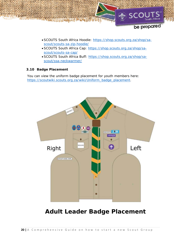

- SCOUTS South Africa Hoodie: https://shop.scouts.org.za/shop/sascout/scouts-sa-zip-hoodie/
- SCOUTS South Africa Cap: https://shop.scouts.org.za/shop/sascout/scouts-sa-cap/
- SCOUTS South Africa Buff: https://shop.scouts.org.za/shop/sascout/ssa-neckwarmer/

# **3.10 Badge Placement**

You can view the uniform badge placement for youth members here: https://scoutwiki.scouts.org.za/wiki/Uniform\_badge\_placement.



# **Adult Leader Badge Placement**